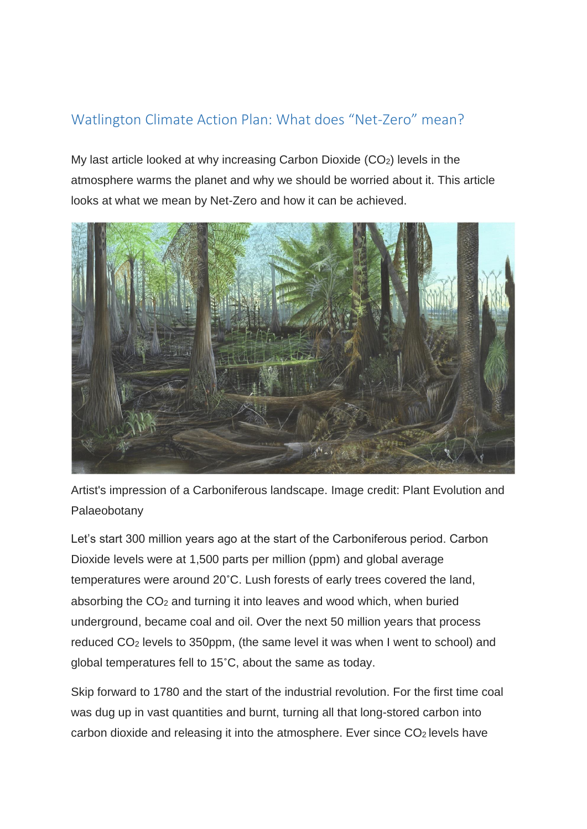## Watlington Climate Action Plan: What does "Net-Zero" mean?

My last article looked at why increasing Carbon Dioxide (CO<sub>2</sub>) levels in the atmosphere warms the planet and why we should be worried about it. This article looks at what we mean by Net-Zero and how it can be achieved.



Artist's impression of a Carboniferous landscape. Image credit: Plant Evolution and Palaeobotany

Let's start 300 million years ago at the start of the Carboniferous period. Carbon Dioxide levels were at 1,500 parts per million (ppm) and global average temperatures were around 20˚C. Lush forests of early trees covered the land, absorbing the  $CO<sub>2</sub>$  and turning it into leaves and wood which, when buried underground, became coal and oil. Over the next 50 million years that process reduced CO<sup>2</sup> levels to 350ppm, (the same level it was when I went to school) and global temperatures fell to 15˚C, about the same as today.

Skip forward to 1780 and the start of the industrial revolution. For the first time coal was dug up in vast quantities and burnt, turning all that long-stored carbon into carbon dioxide and releasing it into the atmosphere. Ever since  $CO<sub>2</sub>$  levels have